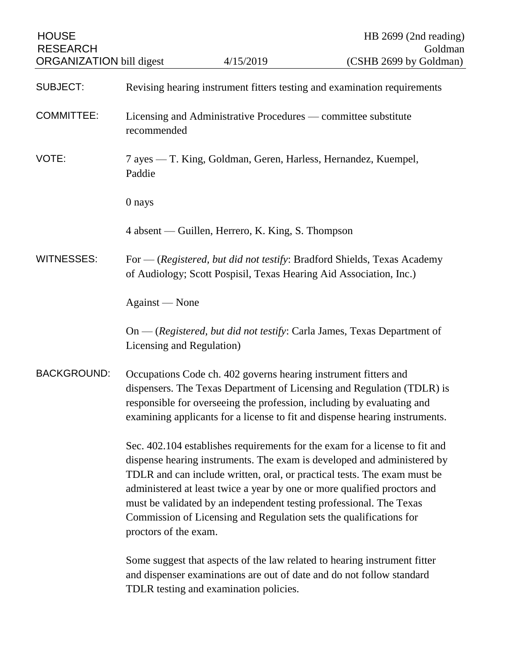| <b>HOUSE</b><br><b>RESEARCH</b><br><b>ORGANIZATION</b> bill digest |                                                                                                                                                                                                                                                                                                                                                                                                                                                                                      | 4/15/2019                                                          | HB $2699$ (2nd reading)<br>Goldman<br>(CSHB 2699 by Goldman)                                                                                       |
|--------------------------------------------------------------------|--------------------------------------------------------------------------------------------------------------------------------------------------------------------------------------------------------------------------------------------------------------------------------------------------------------------------------------------------------------------------------------------------------------------------------------------------------------------------------------|--------------------------------------------------------------------|----------------------------------------------------------------------------------------------------------------------------------------------------|
| <b>SUBJECT:</b>                                                    |                                                                                                                                                                                                                                                                                                                                                                                                                                                                                      |                                                                    | Revising hearing instrument fitters testing and examination requirements                                                                           |
| <b>COMMITTEE:</b>                                                  | Licensing and Administrative Procedures — committee substitute<br>recommended                                                                                                                                                                                                                                                                                                                                                                                                        |                                                                    |                                                                                                                                                    |
| VOTE:                                                              | Paddie                                                                                                                                                                                                                                                                                                                                                                                                                                                                               | 7 ayes — T. King, Goldman, Geren, Harless, Hernandez, Kuempel,     |                                                                                                                                                    |
|                                                                    | 0 nays                                                                                                                                                                                                                                                                                                                                                                                                                                                                               |                                                                    |                                                                                                                                                    |
|                                                                    |                                                                                                                                                                                                                                                                                                                                                                                                                                                                                      | 4 absent — Guillen, Herrero, K. King, S. Thompson                  |                                                                                                                                                    |
| <b>WITNESSES:</b>                                                  |                                                                                                                                                                                                                                                                                                                                                                                                                                                                                      | of Audiology; Scott Pospisil, Texas Hearing Aid Association, Inc.) | For — (Registered, but did not testify: Bradford Shields, Texas Academy                                                                            |
|                                                                    | Against — None                                                                                                                                                                                                                                                                                                                                                                                                                                                                       |                                                                    |                                                                                                                                                    |
|                                                                    | Licensing and Regulation)                                                                                                                                                                                                                                                                                                                                                                                                                                                            |                                                                    | $On$ - (Registered, but did not testify: Carla James, Texas Department of                                                                          |
| <b>BACKGROUND:</b>                                                 | Occupations Code ch. 402 governs hearing instrument fitters and<br>dispensers. The Texas Department of Licensing and Regulation (TDLR) is<br>responsible for overseeing the profession, including by evaluating and<br>examining applicants for a license to fit and dispense hearing instruments.                                                                                                                                                                                   |                                                                    |                                                                                                                                                    |
|                                                                    | Sec. 402.104 establishes requirements for the exam for a license to fit and<br>dispense hearing instruments. The exam is developed and administered by<br>TDLR and can include written, oral, or practical tests. The exam must be<br>administered at least twice a year by one or more qualified proctors and<br>must be validated by an independent testing professional. The Texas<br>Commission of Licensing and Regulation sets the qualifications for<br>proctors of the exam. |                                                                    |                                                                                                                                                    |
|                                                                    |                                                                                                                                                                                                                                                                                                                                                                                                                                                                                      | TDLR testing and examination policies.                             | Some suggest that aspects of the law related to hearing instrument fitter<br>and dispenser examinations are out of date and do not follow standard |